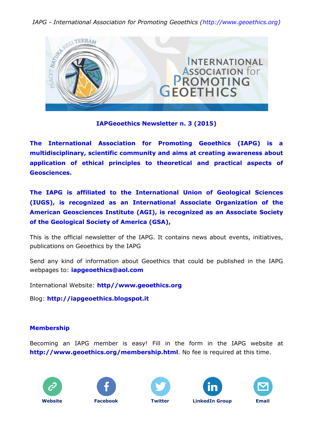*IAPG - International Association for Promoting Geoethics (http://www.geoethics.org)*



#### **IAPGeoethics Newsletter n. 3 (2015)**

**The International Association for Promoting Geoethics (IAPG) is a multidisciplinary, scientific community and aims at creating awareness about application of ethical principles to theoretical and practical aspects of Geosciences.** 

**The IAPG is affiliated to the International Union of Geological Sciences (IUGS), is recognized as an International Associate Organization of the American Geosciences Institute (AGI), is recognized as an Associate Society of the Geological Society of America (GSA),**

This is the official newsletter of the IAPG. It contains news about events, initiatives, publications on Geoethics by the IAPG

Send any kind of information about Geoethics that could be published in the IAPG webpages to: **[iapgeoethics@aol.com](mailto:iapgeoethics@aol.com?subject=IAPG%20newsletter)**

International Website: **[http//www.geoethics.org](http://www.geoethics.org/)**

Blog: **[http://iapgeoethics.blogspot.it](http://iapgeoethics.blogspot.it/)**

## **Membership**

Becoming an IAPG member is easy! Fill in the form in the IAPG website at **<http://www.geoethics.org/membership.html>**. No fee is required at this time.









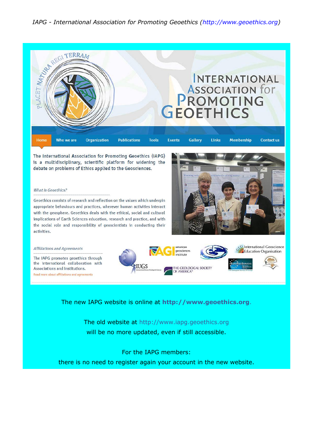

The International Association for Promoting Geoethics (IAPG) is a multidisciplinary, scientific platform for widening the debate on problems of Ethics applied to the Geosciences.

#### What is Geoethics?

Geoethics consists of research and reflection on the values which underpin appropriate behaviours and practices, wherever human activities interact with the geosphere. Geoethics deals with the ethical, social and cultural implications of Earth Sciences education, research and practice, and with the social role and responsibility of geoscientists in conducting their activities.



**Q**International Geoscience mericar **Affiliations and Agreements** geosciences **Education Organisation** institute The IAPG promotes geoethics through the international collaboration with **IUGS** THE GEOLOGICAL SOCIETY<br>OF AMERICA® Associations and Institutions. Read more about affiliations and agreements

The new IAPG website is online at **[http://www.geoethics.org](http://www.geoethics.org/)**.

The old website at [http://www.iapg.geoethics.org](http://www.iapg.geoethics.org/) will be no more updated, even if still accessible.

For the IAPG members:

there is no need to register again your account in the new website.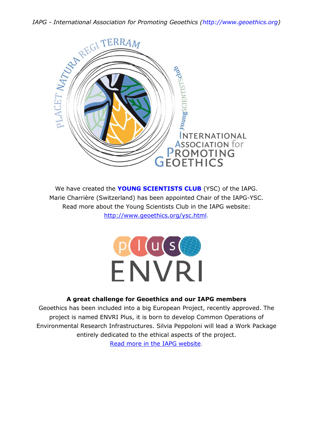

We have created the **YOUNG SCIENTISTS CLUB** (YSC) of the IAPG. Marie Charrière (Switzerland) has been appointed Chair of the IAPG-YSC. Read more about the Young Scientists Club in the IAPG website: [http://www.geoethics.org/ysc.html.](http://www.geoethics.org/ysc.html)



# **A great challenge for Geoethics and our IAPG members**

Geoethics has been included into a big European Project, recently approved. The project is named ENVRI Plus, it is born to develop Common Operations of Environmental Research Infrastructures. Silvia Peppoloni will lead a Work Package entirely dedicated to the ethical aspects of the project.

[Read more in the IAPG website.](http://www.geoethics.org/envriplus.html)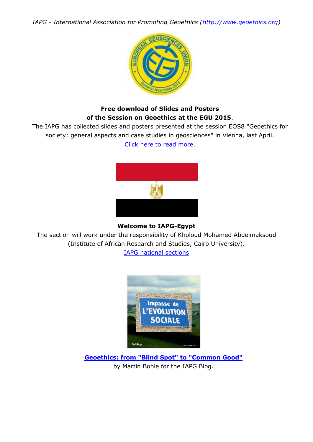*IAPG - International Association for Promoting Geoethics (http://www.geoethics.org)*



## **Free download of Slides and Posters of the Session on Geoethics at the EGU 2015**.

The IAPG has collected slides and posters presented at the session EOS8 "Geoethics for society: general aspects and case studies in geosciences" in Vienna, last April. [Click here to read more.](http://www.geoethics.org/egu2015.html)



## **Welcome to IAPG-Egypt**

The section will work under the responsibility of Kholoud Mohamed Abdelmaksoud (Institute of African Research and Studies, Cairo University).

[IAPG national sections](http://www.geoethics.org/sections.html)



**[Geoethics: from "Blind Spot" to "Common Good"](http://iapgeoethics.blogspot.it/2015/06/geoethics-from-blind-spot-to-common-good.html)** by Martin Bohle for the IAPG Blog.